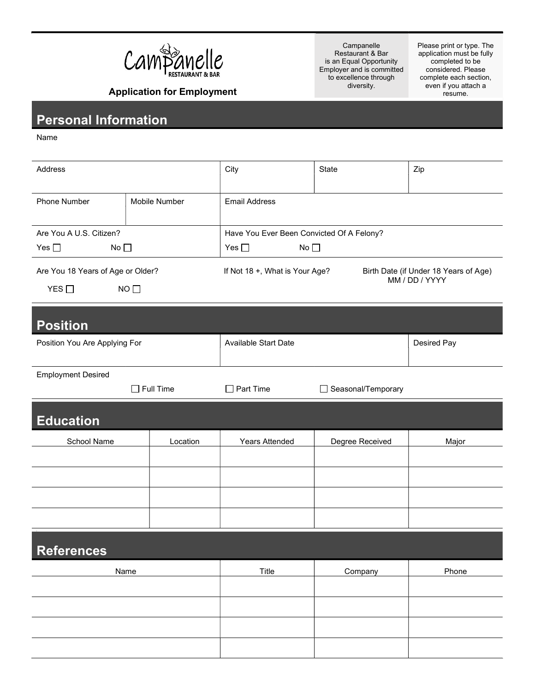

Campanelle Restaurant & Bar is an Equal Opportunity Employer and is committed to excellence through diversity.

Please print or type. The application must be fully completed to be considered. Please complete each section, even if you attach a resume.

Application for Employment

## Personal Information

Name

Ξ

| Address                                                           |               | City                                                                                      | State              | Zip         |  |
|-------------------------------------------------------------------|---------------|-------------------------------------------------------------------------------------------|--------------------|-------------|--|
| <b>Phone Number</b>                                               | Mobile Number | <b>Email Address</b>                                                                      |                    |             |  |
| Are You A U.S. Citizen?                                           |               | Have You Ever Been Convicted Of A Felony?                                                 |                    |             |  |
| Yes $\square$<br>No $\square$                                     |               | Yes $\square$<br>No $\square$                                                             |                    |             |  |
| Are You 18 Years of Age or Older?<br>YES $\square$<br>$NO$ $\Box$ |               | If Not 18 +, What is Your Age?<br>Birth Date (if Under 18 Years of Age)<br>MM / DD / YYYY |                    |             |  |
| <b>Position</b>                                                   |               |                                                                                           |                    |             |  |
| Position You Are Applying For                                     |               | <b>Available Start Date</b>                                                               |                    | Desired Pay |  |
| <b>Employment Desired</b><br>$\Box$ Full Time                     |               | $\Box$ Part Time                                                                          | Seasonal/Temporary |             |  |
| <b>Education</b>                                                  |               |                                                                                           |                    |             |  |
| School Name                                                       | Location      | <b>Years Attended</b>                                                                     | Degree Received    | Major       |  |
|                                                                   |               |                                                                                           |                    |             |  |
|                                                                   |               |                                                                                           |                    |             |  |
|                                                                   |               |                                                                                           |                    |             |  |
|                                                                   |               |                                                                                           |                    |             |  |
| <b>References</b>                                                 |               |                                                                                           |                    |             |  |
| Name                                                              |               | Title                                                                                     | Company            | Phone       |  |
|                                                                   |               |                                                                                           |                    |             |  |
|                                                                   |               |                                                                                           |                    |             |  |
|                                                                   |               |                                                                                           |                    |             |  |
|                                                                   |               |                                                                                           |                    |             |  |